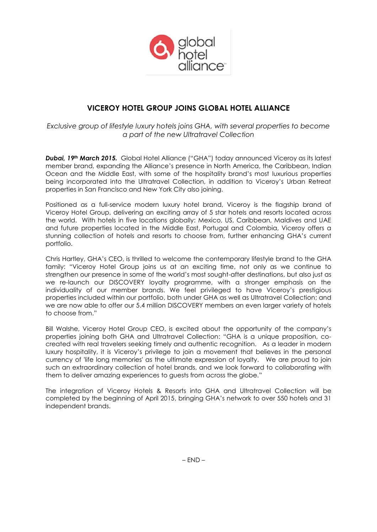

# **VICEROY HOTEL GROUP JOINS GLOBAL HOTEL ALLIANCE**

*Exclusive group of lifestyle luxury hotels joins GHA, with several properties to become a part of the new Ultratravel Collection*

*Dubai, 19th March 2015.* Global Hotel Alliance ("GHA") today announced Viceroy as its latest member brand, expanding the Alliance's presence in North America, the Caribbean, Indian Ocean and the Middle East, with some of the hospitality brand's most luxurious properties being incorporated into the Ultratravel Collection, in addition to Viceroy's Urban Retreat properties in San Francisco and New York City also joining.

Positioned as a full-service modern luxury hotel brand, Viceroy is the flagship brand of Viceroy Hotel Group, delivering an exciting array of 5 star hotels and resorts located across the world. With hotels in five locations globally: Mexico, US, Caribbean, Maldives and UAE and future properties located in the Middle East, Portugal and Colombia, Viceroy offers a stunning collection of hotels and resorts to choose from, further enhancing GHA's current portfolio.

Chris Hartley, GHA's CEO, is thrilled to welcome the contemporary lifestyle brand to the GHA family: "Viceroy Hotel Group joins us at an exciting time, not only as we continue to strengthen our presence in some of the world's most sought-after destinations, but also just as we re-launch our DISCOVERY loyalty programme, with a stronger emphasis on the individuality of our member brands. We feel privileged to have Viceroy's prestigious properties included within our portfolio, both under GHA as well as Ultratravel Collection; and we are now able to offer our 5.4 million DISCOVERY members an even larger variety of hotels to choose from."

Bill Walshe, Viceroy Hotel Group CEO, is excited about the opportunity of the company's properties joining both GHA and Ultratravel Collection: "GHA is a unique proposition, cocreated with real travelers seeking timely and authentic recognition. As a leader in modern luxury hospitality, it is Viceroy's privilege to join a movement that believes in the personal currency of 'life long memories' as the ultimate expression of loyalty. We are proud to join such an extraordinary collection of hotel brands, and we look forward to collaborating with them to deliver amazing experiences to guests from across the globe."

The integration of Viceroy Hotels & Resorts into GHA and Ultratravel Collection will be completed by the beginning of April 2015, bringing GHA's network to over 550 hotels and 31 independent brands.